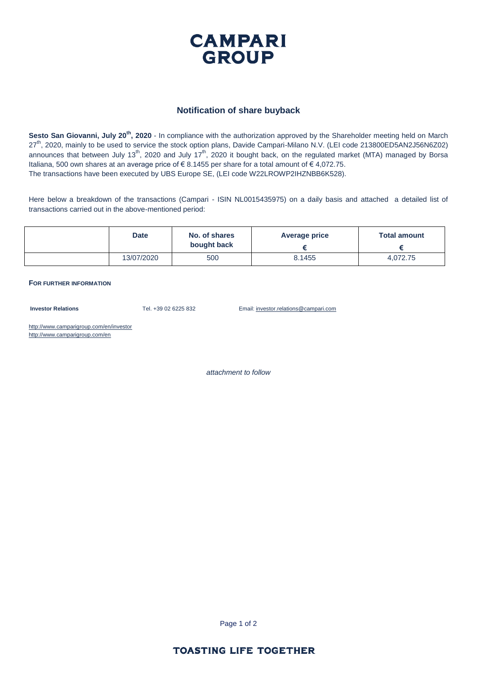

## **Notification of share buyback**

**Sesto San Giovanni, July 20th, 2020** - In compliance with the authorization approved by the Shareholder meeting held on March 27<sup>th</sup>, 2020, mainly to be used to service the stock option plans, Davide Campari-Milano N.V. (LEI code 213800ED5AN2J56N6Z02) announces that between July 13<sup>th</sup>, 2020 and July 17<sup>th</sup>, 2020 it bought back, on the regulated market (MTA) managed by Borsa Italiana, 500 own shares at an average price of  $\epsilon$  8.1455 per share for a total amount of  $\epsilon$  4.072.75. The transactions have been executed by UBS Europe SE, (LEI code W22LROWP2IHZNBB6K528).

Here below a breakdown of the transactions (Campari - ISIN NL0015435975) on a daily basis and attached a detailed list of transactions carried out in the above-mentioned period:

| <b>Date</b> | No. of shares | Average price | <b>Total amount</b> |  |
|-------------|---------------|---------------|---------------------|--|
|             | bought back   |               |                     |  |
| 13/07/2020  | 500           | 8.1455        | 4,072.75            |  |

**FOR FURTHER INFORMATION**

**Investor Relations** Tel. +39 02 6225 832 Email: investor.relations@campari.com

http://www.camparigroup.com/en/investor http://www.camparigroup.com/en

*attachment to follow*

Page 1 of 2

## **TOASTING LIFE TOGETHER**